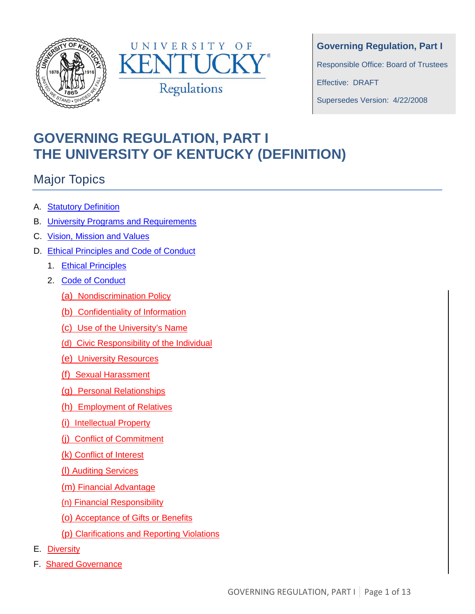



**Governing Regulation, Part I**

Responsible Office: Board of Trustees

Effective: DRAFT

Supersedes Version: 4/22/2008

# **GOVERNING REGULATION, PART I THE UNIVERSITY OF KENTUCKY (DEFINITION)**

## Major Topics

- A. Statutory Definition
- B. University Programs and Requirements
- C. Vision, Mission and Values
- D. Ethical Principles and Code of Conduct
	- 1. Ethical Principles
	- 2. Code of Conduct
		- (a) Nondiscrimination Policy
		- (b) Confidentiality of Information
		- (c) Use of the University's Name
		- (d) Civic Responsibility of the Individual
		- (e) University Resources
		- (f) Sexual Harassment
		- (g) Personal Relationships
		- (h) Employment of Relatives
		- (i) Intellectual Property
		- (j) Conflict of Commitment
		- (k) Conflict of Interest
		- (l) Auditing Services
		- (m) Financial Advantage
		- (n) Financial Responsibility
		- (o) Acceptance of Gifts or Benefits
		- (p) Clarifications and Reporting Violations
- E. Diversity
- F. Shared Governance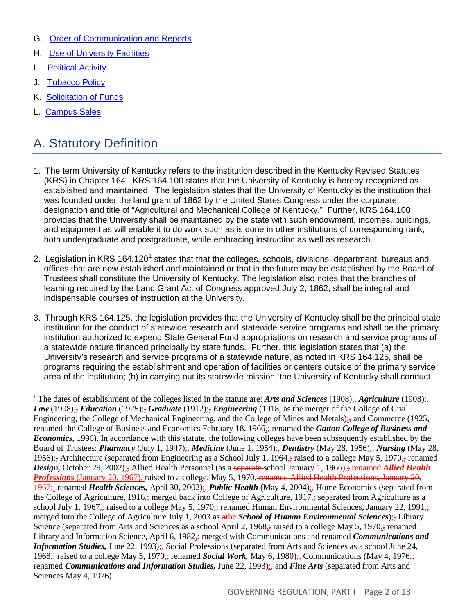- G. Order of Communication and Reports
- H. Use of University Facilities
- **I.** Political Activity
- J. Tobacco Policy
- K. Solicitation of Funds
- L. Campus Sales

### A. Statutory Definition

- 1. The term University of Kentucky refers to the institution described in the Kentucky Revised Statutes (KRS) in Chapter 164. KRS 164.100 states that the University of Kentucky is hereby recognized as established and maintained. The legislation states that the University of Kentucky is the institution that was founded under the land grant of 1862 by the United States Congress under the corporate designation and title of "Agricultural and Mechanical College of Kentucky." Further, KRS 164.100 provides that the University shall be maintained by the state with such endowment, incomes, buildings, and equipment as will enable it to do work such as is done in other institutions of corresponding rank, both undergraduate and postgraduate, while embracing instruction as well as research.
- 2. Legislation in KRS [1](#page-1-0)64.120<sup>1</sup> states that that the colleges, schools, divisions, department, bureaus and offices that are now established and maintained or that in the future may be established by the Board of Trustees shall constitute the University of Kentucky. The legislation also notes that the branches of learning required by the Land Grant Act of Congress approved July 2, 1862, shall be integral and indispensable courses of instruction at the University.
- 3. Through KRS 164.125, the legislation provides that the University of Kentucky shall be the principal state institution for the conduct of statewide research and statewide service programs and shall be the primary institution authorized to expend State General Fund appropriations on research and service programs of a statewide nature financed principally by state funds. Further, this legislation states that (a) the University's research and service programs of a statewide nature, as noted in KRS 164.125, shall be programs requiring the establishment and operation of facilities or centers outside of the primary service area of the institution; (b) in carrying out its statewide mission, the University of Kentucky shall conduct

<span id="page-1-0"></span><sup>1</sup> The dates of establishment of the colleges listed in the statute are: *Arts and Sciences* (1908)<sub> $\frac{1}{25}$ , *Agriculture* (1908)<sub> $\frac{1}{25}$ </sub></sub> *Law* (1908); *Education* (1925); *Graduate* (1912); *Engineering* (1918, as the merger of the College of Civil Engineering, the College of Mechanical Engineering, and the College of Mines and Metals); and Commerce (1925, renamed the College of Business and Economics February 18, 1966,; renamed the *Gatton College of Business and Economics,* 1996). In accordance with this statute, the following colleges have been subsequently established by the Board of Trustees: *Pharmacy* (July 1, 1947);, *Medicine* (June 1, 1954);, *Dentistry* (May 28, 1956);, *Nursing* (May 28, 1956); Architecture (separated from Engineering as a School July 1, 1964,; raised to a college May 5, 1970,; renamed *Design, October 29, 2002)*; Allied Health Personnel (as a separate-school January 1, 1966); renamed *Allied Health Professions* (January 20, 1967), raised to a college, May 5, 1970, renamed Allied Health Professions, January 20, 1967; renamed *Health Sciences*, April 30, 2002); *Public Health* (May 4, 2004); Home Economics (separated from the College of Agriculture, 1916 $\frac{1}{27}$  merged back into College of Agriculture, 1917 $\frac{1}{27}$  separated from Agriculture as a school July 1, 1967<sub> $\frac{1}{25}$ </sub> raised to a college May 5, 1970 $\frac{1}{25}$  renamed Human Environmental Sciences, January 22, 1991 $\frac{1}{25}$ merged into the College of Agriculture July 1, 2003 as athe *School of Human Environmental Sciences*);, Library Science (separated from Arts and Sciences as a school April 2, 1968 $\frac{1}{2}$ ; raised to a college May 5, 1970 $\frac{1}{2}$ ; renamed Library and Information Science, April 6, 1982<sub>5</sub>; merged with Communications and renamed *Communications and Information Studies, June 22, 1993)*; Social Professions (separated from Arts and Sciences as a school June 24, 1968,; raised to a college May 5, 1970,; renamed *Social Work*, May 6, 1980); Communications (May 4, 1976,; renamed *Communications and Information Studies*, June 22, 1993); and *Fine Arts* (separated from Arts and Sciences May 4, 1976).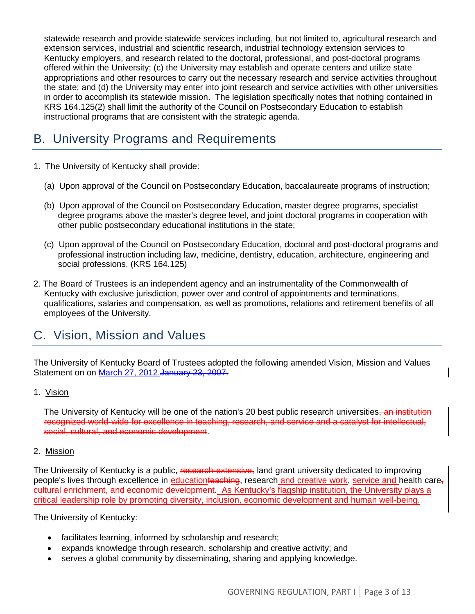statewide research and provide statewide services including, but not limited to, agricultural research and extension services, industrial and scientific research, industrial technology extension services to Kentucky employers, and research related to the doctoral, professional, and post-doctoral programs offered within the University; (c) the University may establish and operate centers and utilize state appropriations and other resources to carry out the necessary research and service activities throughout the state; and (d) the University may enter into joint research and service activities with other universities in order to accomplish its statewide mission. The legislation specifically notes that nothing contained in KRS 164.125(2) shall limit the authority of the Council on Postsecondary Education to establish instructional programs that are consistent with the strategic agenda.

### B. University Programs and Requirements

- 1. The University of Kentucky shall provide:
	- (a) Upon approval of the Council on Postsecondary Education, baccalaureate programs of instruction;
	- (b) Upon approval of the Council on Postsecondary Education, master degree programs, specialist degree programs above the master's degree level, and joint doctoral programs in cooperation with other public postsecondary educational institutions in the state;
	- (c) Upon approval of the Council on Postsecondary Education, doctoral and post-doctoral programs and professional instruction including law, medicine, dentistry, education, architecture, engineering and social professions. (KRS 164.125)
- 2. The Board of Trustees is an independent agency and an instrumentality of the Commonwealth of Kentucky with exclusive jurisdiction, power over and control of appointments and terminations, qualifications, salaries and compensation, as well as promotions, relations and retirement benefits of all employees of the University.

### C. Vision, Mission and Values

The University of Kentucky Board of Trustees adopted the following amended Vision, Mission and Values Statement on on March 27, 2012. January 23, 2007.

#### 1. Vision

The University of Kentucky will be one of the nation's 20 best public research universities<del>, an institution</del> recognized world-wide for excellence in teaching, research, and service and a catalyst for intellectual, social, cultural, and economic development.

#### 2. Mission

The University of Kentucky is a public, research-extensive, land grant university dedicated to improving people's lives through excellence in educationteaching, research and creative work, service and health care, cultural enrichment, and economic development. As Kentucky's flagship institution, the University plays a critical leadership role by promoting diversity, inclusion, economic development and human well-being.

The University of Kentucky:

- facilitates learning, informed by scholarship and research;
- expands knowledge through research, scholarship and creative activity; and
- serves a global community by disseminating, sharing and applying knowledge.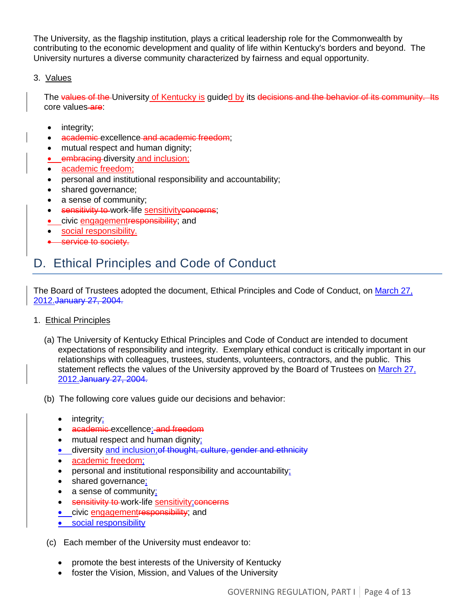The University, as the flagship institution, plays a critical leadership role for the Commonwealth by contributing to the economic development and quality of life within Kentucky's borders and beyond. The University nurtures a diverse community characterized by fairness and equal opportunity.

#### 3. Values

The values of the University of Kentucky is guided by its decisions and the behavior of its community. Its core values-are:

- integrity;
- academic excellence and academic freedom;
- mutual respect and human dignity;
- embracing diversity and inclusion;
- academic freedom;
- personal and institutional responsibility and accountability;
- shared governance;
- a sense of community;
- sensitivity to work-life sensitivityconcerns;
- **•** civic engagementresponsibility; and
- social responsibility.
- service to society.

### D. Ethical Principles and Code of Conduct

The Board of Trustees adopted the document, Ethical Principles and Code of Conduct, on March 27, 2012.January 27, 2004.

- 1. Ethical Principles
	- (a) The University of Kentucky Ethical Principles and Code of Conduct are intended to document expectations of responsibility and integrity. Exemplary ethical conduct is critically important in our relationships with colleagues, trustees, students, volunteers, contractors, and the public. This statement reflects the values of the University approved by the Board of Trustees on March 27, 2012.January 27, 2004.
	- (b) The following core values guide our decisions and behavior:
		- integrity;
		- academic excellence; and freedom
		- mutual respect and human dignity;
		- **•** diversity and inclusion; of thought, culture, gender and ethnicity
		- academic freedom;
		- personal and institutional responsibility and accountability;
		- shared governance;
		- a sense of community;
		- sensitivity to work-life sensitivity; concerns
		- civic engagementresponsibility; and
		- social responsibility
	- (c) Each member of the University must endeavor to:
		- promote the best interests of the University of Kentucky
		- foster the Vision, Mission, and Values of the University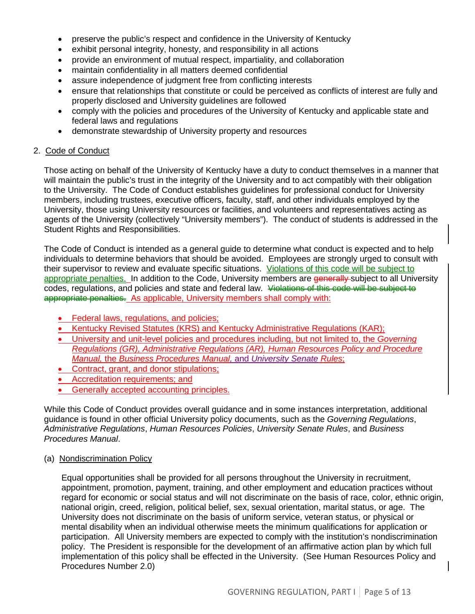- preserve the public's respect and confidence in the University of Kentucky
- exhibit personal integrity, honesty, and responsibility in all actions
- provide an environment of mutual respect, impartiality, and collaboration
- maintain confidentiality in all matters deemed confidential
- assure independence of judgment free from conflicting interests
- ensure that relationships that constitute or could be perceived as conflicts of interest are fully and properly disclosed and University guidelines are followed
- comply with the policies and procedures of the University of Kentucky and applicable state and federal laws and regulations
- demonstrate stewardship of University property and resources

#### 2. Code of Conduct

Those acting on behalf of the University of Kentucky have a duty to conduct themselves in a manner that will maintain the public's trust in the integrity of the University and to act compatibly with their obligation to the University. The Code of Conduct establishes guidelines for professional conduct for University members, including trustees, executive officers, faculty, staff, and other individuals employed by the University, those using University resources or facilities, and volunteers and representatives acting as agents of the University (collectively "University members"). The conduct of students is addressed in the Student Rights and Responsibilities.

The Code of Conduct is intended as a general guide to determine what conduct is expected and to help individuals to determine behaviors that should be avoided. Employees are strongly urged to consult with their supervisor to review and evaluate specific situations. Violations of this code will be subject to appropriate penalties. In addition to the Code, University members are generally subject to all University codes, regulations, and policies and state and federal law. Violations of this code will be subject to appropriate penalties. As applicable, University members shall comply with:

- Federal laws, regulations, and policies;
- Kentucky Revised Statutes (KRS) and Kentucky Administrative Regulations (KAR);
- University and unit-level policies and procedures including, but not limited to, the *Governing Regulations (GR), Administrative Regulations (AR), Human Resources Policy and Procedure Manual,* the *Business Procedures Manual,* and *University Senate Rules*;
- Contract, grant, and donor stipulations;
- Accreditation requirements; and
- Generally accepted accounting principles.

While this Code of Conduct provides overall guidance and in some instances interpretation, additional guidance is found in other official University policy documents, such as the *Governing Regulations*, *Administrative Regulations*, *Human Resources Policies*, *University Senate Rules*, and *Business Procedures Manual*.

#### (a) Nondiscrimination Policy

Equal opportunities shall be provided for all persons throughout the University in recruitment, appointment, promotion, payment, training, and other employment and education practices without regard for economic or social status and will not discriminate on the basis of race, color, ethnic origin, national origin, creed, religion, political belief, sex, sexual orientation, marital status, or age. The University does not discriminate on the basis of uniform service, veteran status, or physical or mental disability when an individual otherwise meets the minimum qualifications for application or participation. All University members are expected to comply with the institution's nondiscrimination policy. The President is responsible for the development of an affirmative action plan by which full implementation of this policy shall be effected in the University. (See Human Resources Policy and Procedures Number 2.0)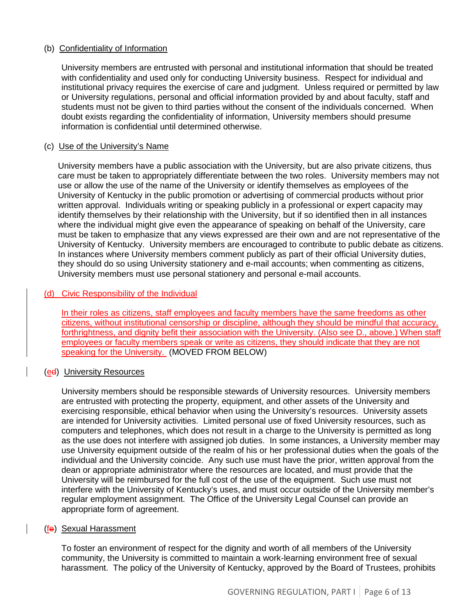#### (b) Confidentiality of Information

University members are entrusted with personal and institutional information that should be treated with confidentiality and used only for conducting University business. Respect for individual and institutional privacy requires the exercise of care and judgment. Unless required or permitted by law or University regulations, personal and official information provided by and about faculty, staff and students must not be given to third parties without the consent of the individuals concerned. When doubt exists regarding the confidentiality of information, University members should presume information is confidential until determined otherwise.

#### (c) Use of the University's Name

University members have a public association with the University, but are also private citizens, thus care must be taken to appropriately differentiate between the two roles. University members may not use or allow the use of the name of the University or identify themselves as employees of the University of Kentucky in the public promotion or advertising of commercial products without prior written approval. Individuals writing or speaking publicly in a professional or expert capacity may identify themselves by their relationship with the University, but if so identified then in all instances where the individual might give even the appearance of speaking on behalf of the University, care must be taken to emphasize that any views expressed are their own and are not representative of the University of Kentucky. University members are encouraged to contribute to public debate as citizens. In instances where University members comment publicly as part of their official University duties, they should do so using University stationery and e-mail accounts; when commenting as citizens, University members must use personal stationery and personal e-mail accounts.

#### (d) Civic Responsibility of the Individual

In their roles as citizens, staff employees and faculty members have the same freedoms as other citizens, without institutional censorship or discipline, although they should be mindful that accuracy, forthrightness, and dignity befit their association with the University. (Also see D., above.) When staff employees or faculty members speak or write as citizens, they should indicate that they are not speaking for the University. (MOVED FROM BELOW)

#### (ed) University Resources

University members should be responsible stewards of University resources. University members are entrusted with protecting the property, equipment, and other assets of the University and exercising responsible, ethical behavior when using the University's resources. University assets are intended for University activities. Limited personal use of fixed University resources, such as computers and telephones, which does not result in a charge to the University is permitted as long as the use does not interfere with assigned job duties. In some instances, a University member may use University equipment outside of the realm of his or her professional duties when the goals of the individual and the University coincide. Any such use must have the prior, written approval from the dean or appropriate administrator where the resources are located, and must provide that the University will be reimbursed for the full cost of the use of the equipment. Such use must not interfere with the University of Kentucky's uses, and must occur outside of the University member's regular employment assignment. The Office of the University Legal Counsel can provide an appropriate form of agreement.

#### (fe) Sexual Harassment

To foster an environment of respect for the dignity and worth of all members of the University community, the University is committed to maintain a work-learning environment free of sexual harassment. The policy of the University of Kentucky, approved by the Board of Trustees, prohibits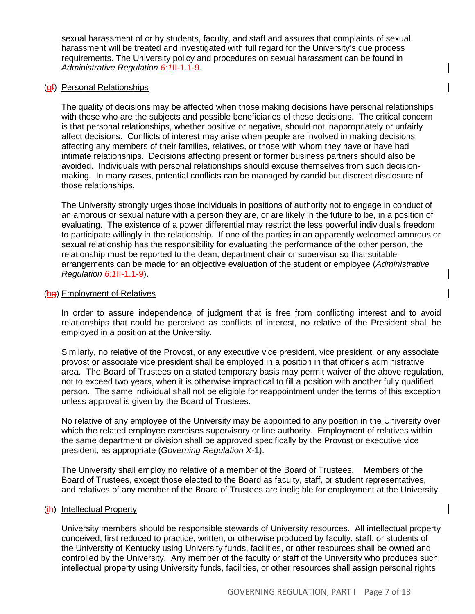sexual harassment of or by students, faculty, and staff and assures that complaints of sexual harassment will be treated and investigated with full regard for the University's due process requirements. The University policy and procedures on sexual harassment can be found in Administrative Regulation 6:1H-1.1-9.

#### (gf) Personal Relationships

The quality of decisions may be affected when those making decisions have personal relationships with those who are the subjects and possible beneficiaries of these decisions. The critical concern is that personal relationships, whether positive or negative, should not inappropriately or unfairly affect decisions. Conflicts of interest may arise when people are involved in making decisions affecting any members of their families, relatives, or those with whom they have or have had intimate relationships. Decisions affecting present or former business partners should also be avoided. Individuals with personal relationships should excuse themselves from such decisionmaking. In many cases, potential conflicts can be managed by candid but discreet disclosure of those relationships.

The University strongly urges those individuals in positions of authority not to engage in conduct of an amorous or sexual nature with a person they are, or are likely in the future to be, in a position of evaluating. The existence of a power differential may restrict the less powerful individual's freedom to participate willingly in the relationship. If one of the parties in an apparently welcomed amorous or sexual relationship has the responsibility for evaluating the performance of the other person, the relationship must be reported to the dean, department chair or supervisor so that suitable arrangements can be made for an objective evaluation of the student or employee (*Administrative Regulation 6:1*<sup>H-1.1-9</sup>).

#### (hg) Employment of Relatives

In order to assure independence of judgment that is free from conflicting interest and to avoid relationships that could be perceived as conflicts of interest, no relative of the President shall be employed in a position at the University.

Similarly, no relative of the Provost, or any executive vice president, vice president, or any associate provost or associate vice president shall be employed in a position in that officer's administrative area. The Board of Trustees on a stated temporary basis may permit waiver of the above regulation, not to exceed two years, when it is otherwise impractical to fill a position with another fully qualified person. The same individual shall not be eligible for reappointment under the terms of this exception unless approval is given by the Board of Trustees.

No relative of any employee of the University may be appointed to any position in the University over which the related employee exercises supervisory or line authority. Employment of relatives within the same department or division shall be approved specifically by the Provost or executive vice president, as appropriate (*Governing Regulation X*-1).

The University shall employ no relative of a member of the Board of Trustees. Members of the Board of Trustees, except those elected to the Board as faculty, staff, or student representatives, and relatives of any member of the Board of Trustees are ineligible for employment at the University.

#### (ih) Intellectual Property

University members should be responsible stewards of University resources. All intellectual property conceived, first reduced to practice, written, or otherwise produced by faculty, staff, or students of the University of Kentucky using University funds, facilities, or other resources shall be owned and controlled by the University. Any member of the faculty or staff of the University who produces such intellectual property using University funds, facilities, or other resources shall assign personal rights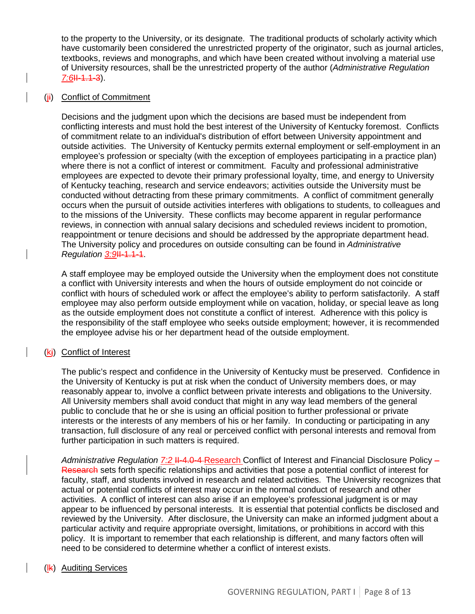to the property to the University, or its designate. The traditional products of scholarly activity which have customarily been considered the unrestricted property of the originator, such as journal articles, textbooks, reviews and monographs, and which have been created without involving a material use of University resources, shall be the unrestricted property of the author (*Administrative Regulation 7:6*II-1.1-3).

#### (ji) Conflict of Commitment

Decisions and the judgment upon which the decisions are based must be independent from conflicting interests and must hold the best interest of the University of Kentucky foremost. Conflicts of commitment relate to an individual's distribution of effort between University appointment and outside activities. The University of Kentucky permits external employment or self-employment in an employee's profession or specialty (with the exception of employees participating in a practice plan) where there is not a conflict of interest or commitment. Faculty and professional administrative employees are expected to devote their primary professional loyalty, time, and energy to University of Kentucky teaching, research and service endeavors; activities outside the University must be conducted without detracting from these primary commitments. A conflict of commitment generally occurs when the pursuit of outside activities interferes with obligations to students, to colleagues and to the missions of the University. These conflicts may become apparent in regular performance reviews, in connection with annual salary decisions and scheduled reviews incident to promotion, reappointment or tenure decisions and should be addressed by the appropriate department head. The University policy and procedures on outside consulting can be found in *Administrative*  **Regulation 3:91-1.1-1.** 

A staff employee may be employed outside the University when the employment does not constitute a conflict with University interests and when the hours of outside employment do not coincide or conflict with hours of scheduled work or affect the employee's ability to perform satisfactorily. A staff employee may also perform outside employment while on vacation, holiday, or special leave as long as the outside employment does not constitute a conflict of interest. Adherence with this policy is the responsibility of the staff employee who seeks outside employment; however, it is recommended the employee advise his or her department head of the outside employment.

#### (kj) Conflict of Interest

The public's respect and confidence in the University of Kentucky must be preserved. Confidence in the University of Kentucky is put at risk when the conduct of University members does, or may reasonably appear to, involve a conflict between private interests and obligations to the University. All University members shall avoid conduct that might in any way lead members of the general public to conclude that he or she is using an official position to further professional or private interests or the interests of any members of his or her family. In conducting or participating in any transaction, full disclosure of any real or perceived conflict with personal interests and removal from further participation in such matters is required.

*Administrative Regulation 7:2* II-4.0-4 Research Conflict of Interest and Financial Disclosure Policy – Research sets forth specific relationships and activities that pose a potential conflict of interest for faculty, staff, and students involved in research and related activities. The University recognizes that actual or potential conflicts of interest may occur in the normal conduct of research and other activities. A conflict of interest can also arise if an employee's professional judgment is or may appear to be influenced by personal interests. It is essential that potential conflicts be disclosed and reviewed by the University. After disclosure, the University can make an informed judgment about a particular activity and require appropriate oversight, limitations, or prohibitions in accord with this policy. It is important to remember that each relationship is different, and many factors often will need to be considered to determine whether a conflict of interest exists.

#### (lk) Auditing Services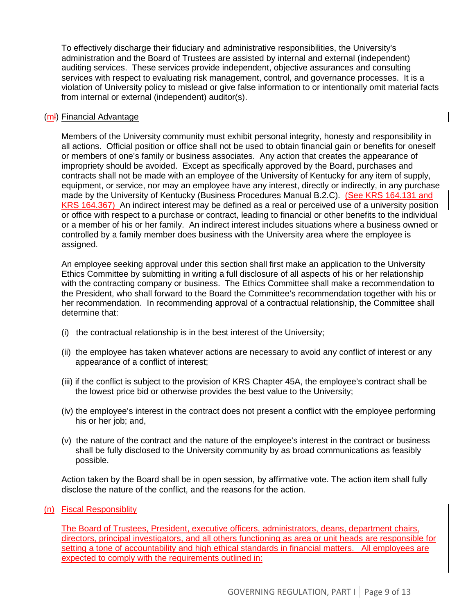To effectively discharge their fiduciary and administrative responsibilities, the University's administration and the Board of Trustees are assisted by internal and external (independent) auditing services. These services provide independent, objective assurances and consulting services with respect to evaluating risk management, control, and governance processes. It is a violation of University policy to mislead or give false information to or intentionally omit material facts from internal or external (independent) auditor(s).

#### (ml) Financial Advantage

Members of the University community must exhibit personal integrity, honesty and responsibility in all actions. Official position or office shall not be used to obtain financial gain or benefits for oneself or members of one's family or business associates. Any action that creates the appearance of impropriety should be avoided. Except as specifically approved by the Board, purchases and contracts shall not be made with an employee of the University of Kentucky for any item of supply, equipment, or service, nor may an employee have any interest, directly or indirectly, in any purchase made by the University of Kentucky (Business Procedures Manual B.2.C). (See KRS 164.131 and KRS 164.367) An indirect interest may be defined as a real or perceived use of a university position or office with respect to a purchase or contract, leading to financial or other benefits to the individual or a member of his or her family. An indirect interest includes situations where a business owned or controlled by a family member does business with the University area where the employee is assigned.

An employee seeking approval under this section shall first make an application to the University Ethics Committee by submitting in writing a full disclosure of all aspects of his or her relationship with the contracting company or business. The Ethics Committee shall make a recommendation to the President, who shall forward to the Board the Committee's recommendation together with his or her recommendation. In recommending approval of a contractual relationship, the Committee shall determine that:

- (i) the contractual relationship is in the best interest of the University;
- (ii) the employee has taken whatever actions are necessary to avoid any conflict of interest or any appearance of a conflict of interest;
- (iii) if the conflict is subject to the provision of KRS Chapter 45A, the employee's contract shall be the lowest price bid or otherwise provides the best value to the University;
- (iv) the employee's interest in the contract does not present a conflict with the employee performing his or her job; and,
- (v) the nature of the contract and the nature of the employee's interest in the contract or business shall be fully disclosed to the University community by as broad communications as feasibly possible.

Action taken by the Board shall be in open session, by affirmative vote. The action item shall fully disclose the nature of the conflict, and the reasons for the action.

#### (n) Fiscal Responsiblity

The Board of Trustees, President, executive officers, administrators, deans, department chairs, directors, principal investigators, and all others functioning as area or unit heads are responsible for setting a tone of accountability and high ethical standards in financial matters. All employees are expected to comply with the requirements outlined in: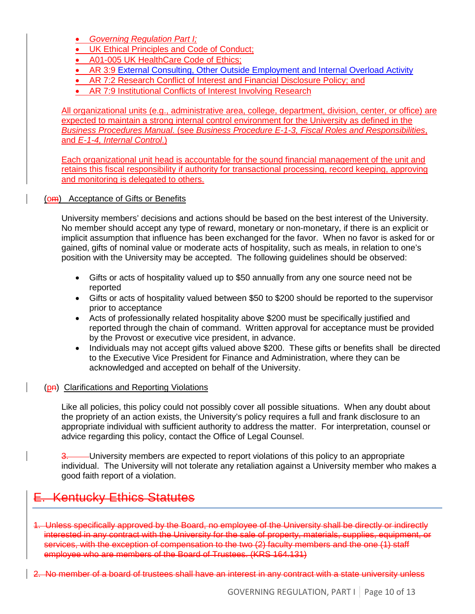• *Governing Regulation Part I;*

- [UK Ethical Principles and Code of Conduct;](http://www.uky.edu/Legal/ethicscode.htm)
- [A01-005 UK HealthCare Code of Ethics;](http://www.hosp.uky.edu/policies/viewpolicy.asp?PolicyManual=10&PolicyID=771)
- AR 3:9 External Consulting, Other Outside Employment and Internal Overload Activity
- [AR 7:2 Research Conflict of Interest and Financial Disclosure Policy;](http://www.uky.edu/Regs/files/ar/ar7-2.pdf) and
- [AR 7:9 Institutional Conflicts of Interest Involving Research](http://www.uky.edu/Regs/files/ar/ar7-9.pdf)

All organizational units (e.g., administrative area, college, department, division, center, or office) are expected to maintain a strong internal control environment for the University as defined in the *Business Procedures Manual*. (see *Business Procedure [E-1-3, Fiscal Roles and Responsibilities](http://www.uky.edu/EVPFA/Controller/files/BPM/E-1-3.pdf)*, and *E-1-4, Internal Control*.)

Each organizational unit head is accountable for the sound financial management of the unit and retains this fiscal responsibility if authority for transactional processing, record keeping, approving and monitoring is delegated to others.

#### (om) Acceptance of Gifts or Benefits

University members' decisions and actions should be based on the best interest of the University. No member should accept any type of reward, monetary or non-monetary, if there is an explicit or implicit assumption that influence has been exchanged for the favor. When no favor is asked for or gained, gifts of nominal value or moderate acts of hospitality, such as meals, in relation to one's position with the University may be accepted. The following guidelines should be observed:

- Gifts or acts of hospitality valued up to \$50 annually from any one source need not be reported
- Gifts or acts of hospitality valued between \$50 to \$200 should be reported to the supervisor prior to acceptance
- Acts of professionally related hospitality above \$200 must be specifically justified and reported through the chain of command. Written approval for acceptance must be provided by the Provost or executive vice president, in advance.
- Individuals may not accept gifts valued above \$200. These gifts or benefits shall be directed to the Executive Vice President for Finance and Administration, where they can be acknowledged and accepted on behalf of the University.

#### (p<del>n</del>) Clarifications and Reporting Violations

Like all policies, this policy could not possibly cover all possible situations. When any doubt about the propriety of an action exists, the University's policy requires a full and frank disclosure to an appropriate individual with sufficient authority to address the matter. For interpretation, counsel or advice regarding this policy, contact the Office of Legal Counsel.

3. University members are expected to report violations of this policy to an appropriate individual. The University will not tolerate any retaliation against a University member who makes a good faith report of a violation.

### **Kentucky Ethics Statutes**

- 1. Unless specifically approved by the Board, no employee of the University shall be directly or indirectly interested in any contract with the University for the sale of property, materials, supplies, equipment, or services, with the exception of compensation to the two (2) faculty members and the one (1) staff employee who are members of the Board of Trustees. (KRS 164.131)
- 2. No member of a board of trustees shall have an interest in any contract with a state university unless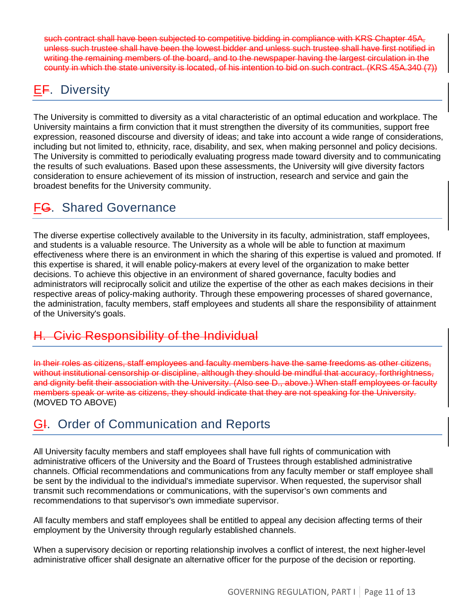such contract shall have been subjected to competitive bidding in compliance with KRS Chapter 45A, unless such trustee shall have been the lowest bidder and unless such trustee shall have first notified in writing the remaining members of the board, and to the newspaper having the largest circulation in the county in which the state university is located, of his intention to bid on such contract. (KRS 45A.340 (7))

## EF. Diversity

The University is committed to diversity as a vital characteristic of an optimal education and workplace. The University maintains a firm conviction that it must strengthen the diversity of its communities, support free expression, reasoned discourse and diversity of ideas; and take into account a wide range of considerations, including but not limited to, ethnicity, race, disability, and sex, when making personnel and policy decisions. The University is committed to periodically evaluating progress made toward diversity and to communicating the results of such evaluations. Based upon these assessments, the University will give diversity factors consideration to ensure achievement of its mission of instruction, research and service and gain the broadest benefits for the University community.

## FG. Shared Governance

The diverse expertise collectively available to the University in its faculty, administration, staff employees, and students is a valuable resource. The University as a whole will be able to function at maximum effectiveness where there is an environment in which the sharing of this expertise is valued and promoted. If this expertise is shared, it will enable policy-makers at every level of the organization to make better decisions. To achieve this objective in an environment of shared governance, faculty bodies and administrators will reciprocally solicit and utilize the expertise of the other as each makes decisions in their respective areas of policy-making authority. Through these empowering processes of shared governance, the administration, faculty members, staff employees and students all share the responsibility of attainment of the University's goals.

### **Civic Responsibility of the Individual**

In their roles as citizens, staff employees and faculty members have the same freedoms as other citizens, without institutional censorship or discipline, although they should be mindful that accuracy, forthrightness, and dignity befit their association with the University. (Also see D., above.) When staff employees or faculty members speak or write as citizens, they should indicate that they are not speaking for the University. (MOVED TO ABOVE)

### **GI.** Order of Communication and Reports

All University faculty members and staff employees shall have full rights of communication with administrative officers of the University and the Board of Trustees through established administrative channels. Official recommendations and communications from any faculty member or staff employee shall be sent by the individual to the individual's immediate supervisor. When requested, the supervisor shall transmit such recommendations or communications, with the supervisor's own comments and recommendations to that supervisor's own immediate supervisor.

All faculty members and staff employees shall be entitled to appeal any decision affecting terms of their employment by the University through regularly established channels.

When a supervisory decision or reporting relationship involves a conflict of interest, the next higher-level administrative officer shall designate an alternative officer for the purpose of the decision or reporting.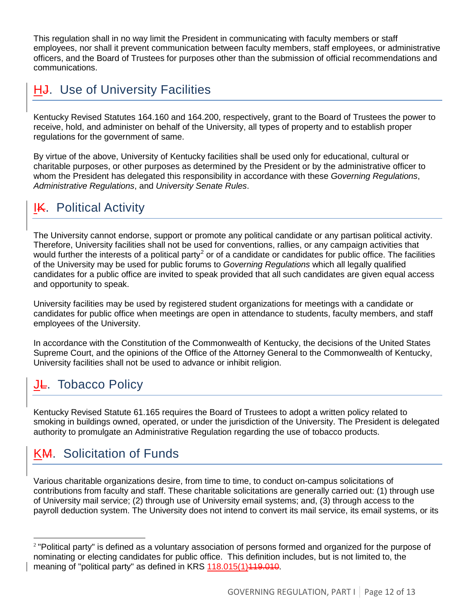This regulation shall in no way limit the President in communicating with faculty members or staff employees, nor shall it prevent communication between faculty members, staff employees, or administrative officers, and the Board of Trustees for purposes other than the submission of official recommendations and communications.

## H<sub>J</sub>. Use of University Facilities

Kentucky Revised Statutes 164.160 and 164.200, respectively, grant to the Board of Trustees the power to receive, hold, and administer on behalf of the University, all types of property and to establish proper regulations for the government of same.

By virtue of the above, University of Kentucky facilities shall be used only for educational, cultural or charitable purposes, or other purposes as determined by the President or by the administrative officer to whom the President has delegated this responsibility in accordance with these *Governing Regulations*, *Administrative Regulations*, and *University Senate Rules*.

# **IK.** Political Activity

The University cannot endorse, support or promote any political candidate or any partisan political activity. Therefore, University facilities shall not be used for conventions, rallies, or any campaign activities that would further the interests of a political party<sup>[2](#page-11-0)</sup> or of a candidate or candidates for public office. The facilities of the University may be used for public forums to *Governing Regulations* which all legally qualified candidates for a public office are invited to speak provided that all such candidates are given equal access and opportunity to speak.

University facilities may be used by registered student organizations for meetings with a candidate or candidates for public office when meetings are open in attendance to students, faculty members, and staff employees of the University.

In accordance with the Constitution of the Commonwealth of Kentucky, the decisions of the United States Supreme Court, and the opinions of the Office of the Attorney General to the Commonwealth of Kentucky, University facilities shall not be used to advance or inhibit religion.

## J<sub>E</sub>. Tobacco Policy

Kentucky Revised Statute 61.165 requires the Board of Trustees to adopt a written policy related to smoking in buildings owned, operated, or under the jurisdiction of the University. The President is delegated authority to promulgate an Administrative Regulation regarding the use of tobacco products.

# KM. Solicitation of Funds

Various charitable organizations desire, from time to time, to conduct on-campus solicitations of contributions from faculty and staff. These charitable solicitations are generally carried out: (1) through use of University mail service; (2) through use of University email systems; and, (3) through access to the payroll deduction system. The University does not intend to convert its mail service, its email systems, or its

<span id="page-11-0"></span><sup>2</sup> "Political party" is defined as a voluntary association of persons formed and organized for the purpose of nominating or electing candidates for public office. This definition includes, but is not limited to, the meaning of "political party" as defined in KRS 118.015(1) 119.010.